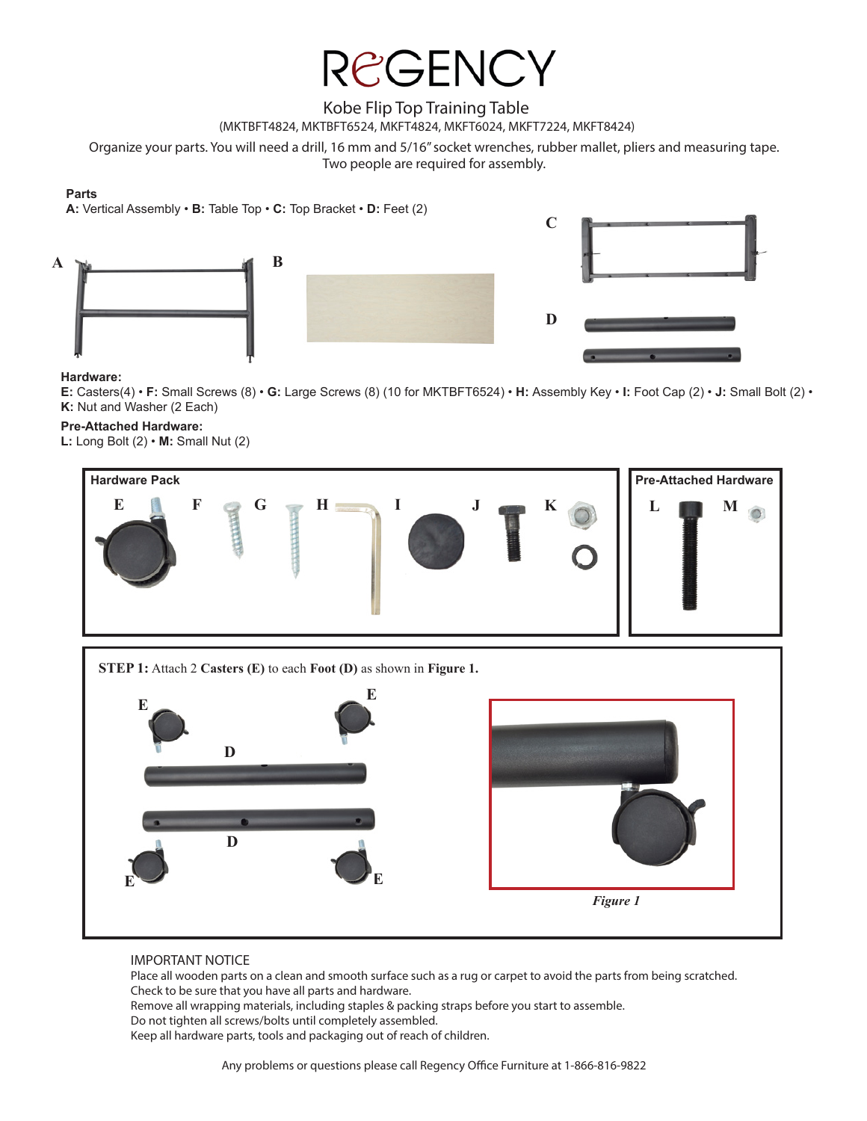### Kobe Flip Top Training Table

(MKTBFT4824, MKTBFT6524, MKFT4824, MKFT6024, MKFT7224, MKFT8424)

Organize your parts. You will need a drill, 16 mm and 5/16" socket wrenches, rubber mallet, pliers and measuring tape.

Two people are required for assembly.

#### **Parts**

**A:** Vertical Assembly • **B:** Table Top • **C:** Top Bracket • **D:** Feet (2)





#### **Hardware:**

**E:** Casters(4) • **F:** Small Screws (8) • **G:** Large Screws (8) (10 for MKTBFT6524) • **H:** Assembly Key • **I:** Foot Cap (2) • **J:** Small Bolt (2) • **K:** Nut and Washer (2 Each)

#### **Pre-Attached Hardware:**

**L:** Long Bolt (2) • **M:** Small Nut (2)



*Figure 1*

#### IMPORTANT NOTICE

**E**

Place all wooden parts on a clean and smooth surface such as a rug or carpet to avoid the parts from being scratched. Check to be sure that you have all parts and hardware.

Remove all wrapping materials, including staples & packing straps before you start to assemble. Do not tighten all screws/bolts until completely assembled. Keep all hardware parts, tools and packaging out of reach of children.

**E**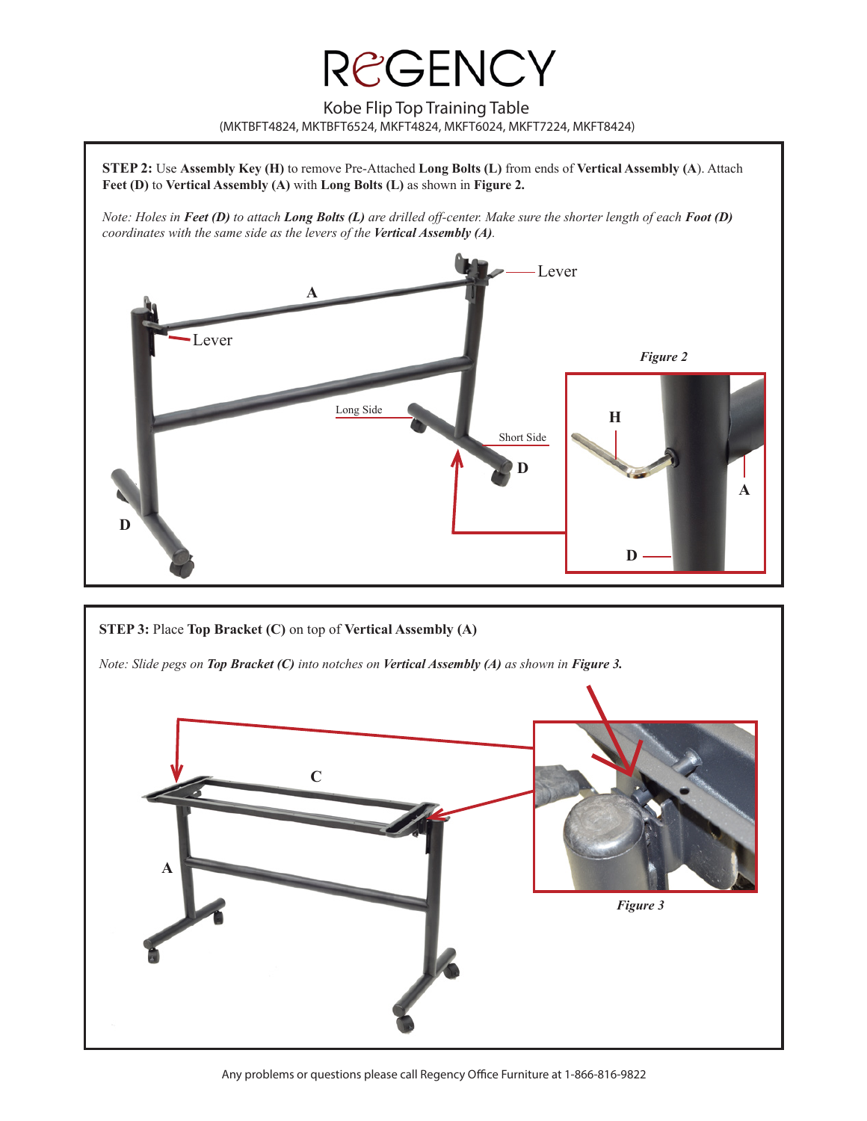Kobe Flip Top Training Table (MKTBFT4824, MKTBFT6524, MKFT4824, MKFT6024, MKFT7224, MKFT8424)





Any problems or questions please call Regency Office Furniture at 1-866-816-9822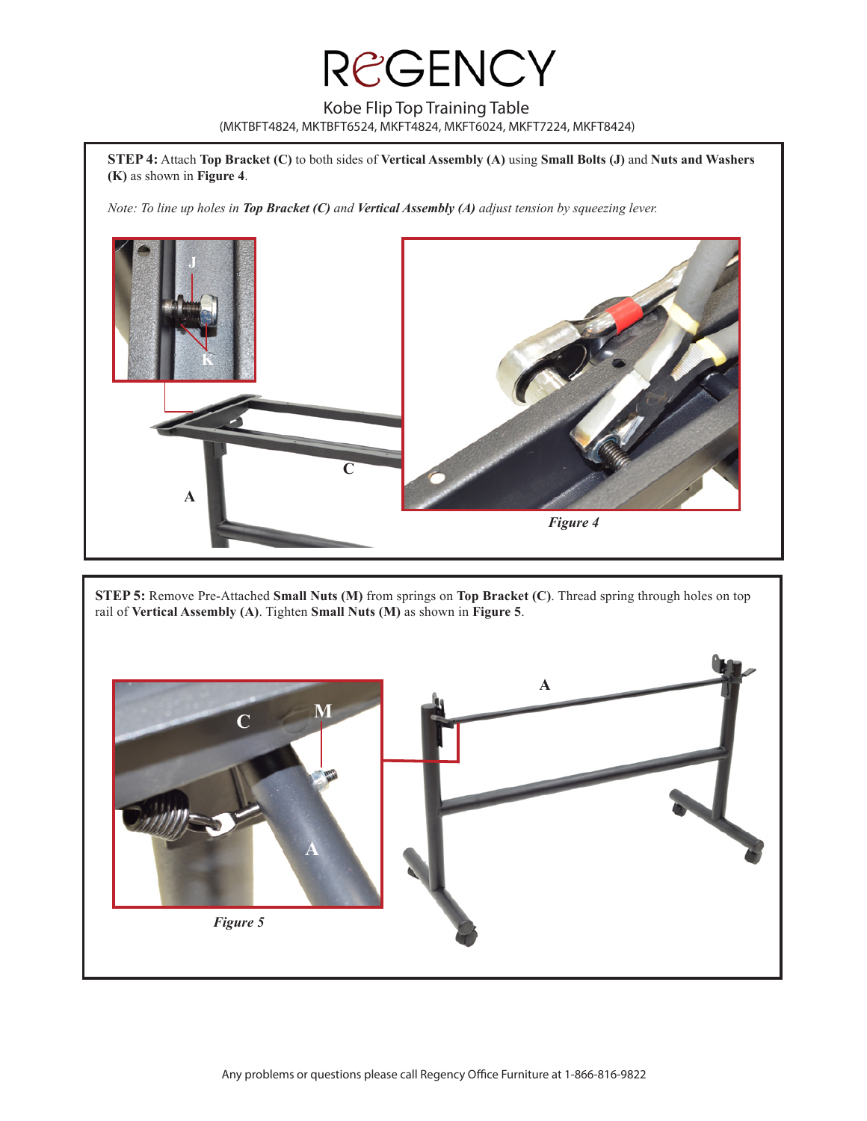Kobe Flip Top Training Table (MKTBFT4824, MKTBFT6524, MKFT4824, MKFT6024, MKFT7224, MKFT8424)

**STEP 4:** Attach **Top Bracket (C)** to both sides of **Vertical Assembly (A)** using **Small Bolts (J)** and **Nuts and Washers (K)** as shown in **Figure 4**.

*Note: To line up holes in Top Bracket (C) and Vertical Assembly (A) adjust tension by squeezing lever.* 



**STEP 5:** Remove Pre-Attached **Small Nuts (M)** from springs on **Top Bracket (C)**. Thread spring through holes on top rail of **Vertical Assembly (A)**. Tighten **Small Nuts (M)** as shown in **Figure 5**.